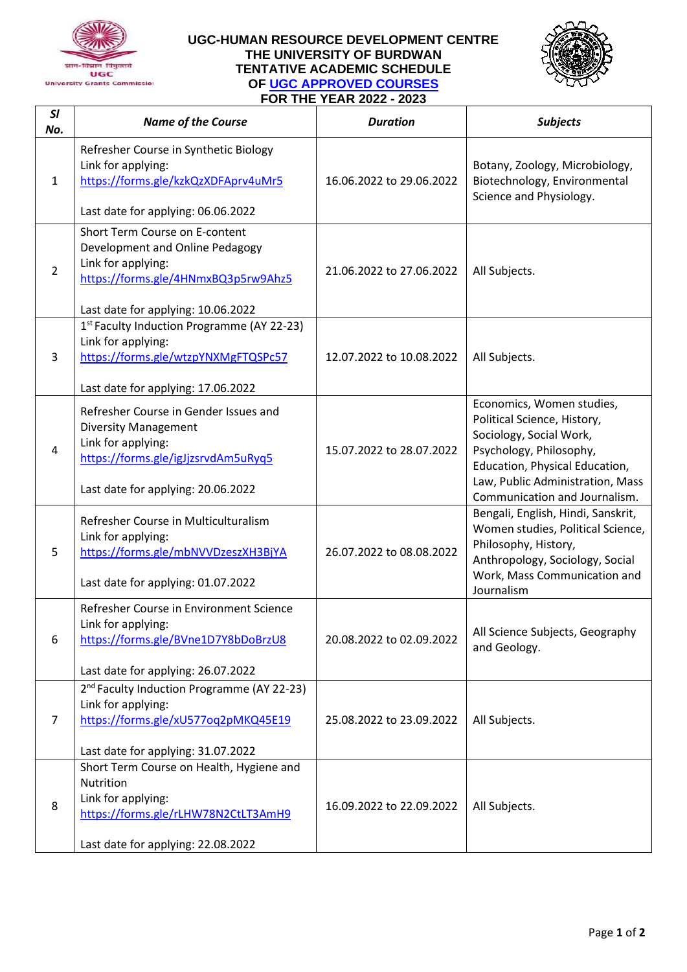

## **UGC-HUMAN RESOURCE DEVELOPMENT CENTRE THE UNIVERSITY OF BURDWAN TENTATIVE ACADEMIC SCHEDULE OF [UGC APPROVED COURSES](https://www.ugc.ac.in/pdfnews/3674671_LOCAL_REF_2097_1648529876306-(1).pdf) FOR THE YEAR 2022 - 2023**



| SI<br>No.      | <b>Name of the Course</b>                                                                                                                                               | <b>Duration</b>          | <b>Subjects</b>                                                                                                                                                                                                       |
|----------------|-------------------------------------------------------------------------------------------------------------------------------------------------------------------------|--------------------------|-----------------------------------------------------------------------------------------------------------------------------------------------------------------------------------------------------------------------|
| $\mathbf{1}$   | Refresher Course in Synthetic Biology<br>Link for applying:<br>https://forms.gle/kzkQzXDFAprv4uMr5<br>Last date for applying: 06.06.2022                                | 16.06.2022 to 29.06.2022 | Botany, Zoology, Microbiology,<br>Biotechnology, Environmental<br>Science and Physiology.                                                                                                                             |
| $\overline{2}$ | Short Term Course on E-content<br>Development and Online Pedagogy<br>Link for applying:<br>https://forms.gle/4HNmxBQ3p5rw9Ahz5<br>Last date for applying: 10.06.2022    | 21.06.2022 to 27.06.2022 | All Subjects.                                                                                                                                                                                                         |
| 3              | 1 <sup>st</sup> Faculty Induction Programme (AY 22-23)<br>Link for applying:<br>https://forms.gle/wtzpYNXMgFTQSPc57<br>Last date for applying: 17.06.2022               | 12.07.2022 to 10.08.2022 | All Subjects.                                                                                                                                                                                                         |
| 4              | Refresher Course in Gender Issues and<br><b>Diversity Management</b><br>Link for applying:<br>https://forms.gle/igJjzsrvdAm5uRyq5<br>Last date for applying: 20.06.2022 | 15.07.2022 to 28.07.2022 | Economics, Women studies,<br>Political Science, History,<br>Sociology, Social Work,<br>Psychology, Philosophy,<br>Education, Physical Education,<br>Law, Public Administration, Mass<br>Communication and Journalism. |
| 5              | Refresher Course in Multiculturalism<br>Link for applying:<br>https://forms.gle/mbNVVDzeszXH3BjYA<br>Last date for applying: 01.07.2022                                 | 26.07.2022 to 08.08.2022 | Bengali, English, Hindi, Sanskrit,<br>Women studies, Political Science,<br>Philosophy, History,<br>Anthropology, Sociology, Social<br>Work, Mass Communication and<br>Journalism                                      |
| 6              | Refresher Course in Environment Science<br>Link for applying:<br>https://forms.gle/BVne1D7Y8bDoBrzU8<br>Last date for applying: 26.07.2022                              | 20.08.2022 to 02.09.2022 | All Science Subjects, Geography<br>and Geology.                                                                                                                                                                       |
| $\overline{7}$ | 2 <sup>nd</sup> Faculty Induction Programme (AY 22-23)<br>Link for applying:<br>https://forms.gle/xU577oq2pMKQ45E19<br>Last date for applying: 31.07.2022               | 25.08.2022 to 23.09.2022 | All Subjects.                                                                                                                                                                                                         |
| 8              | Short Term Course on Health, Hygiene and<br>Nutrition<br>Link for applying:<br>https://forms.gle/rLHW78N2CtLT3AmH9<br>Last date for applying: 22.08.2022                | 16.09.2022 to 22.09.2022 | All Subjects.                                                                                                                                                                                                         |